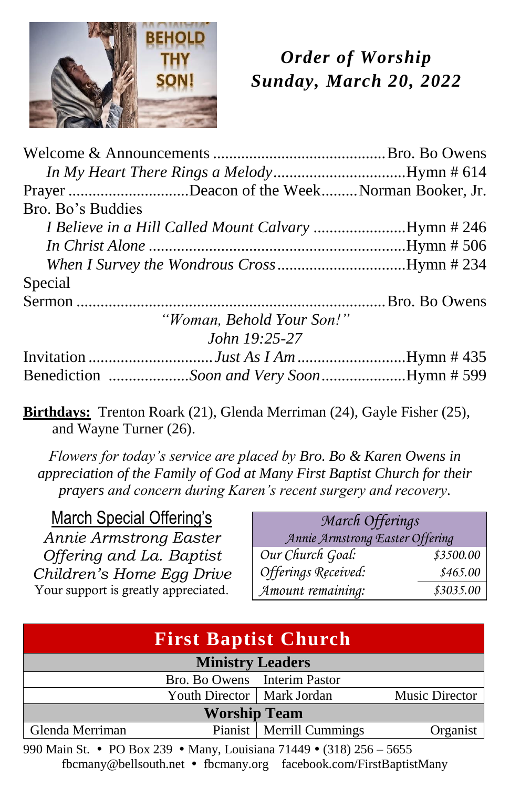

# *Order of Worship Sunday, March 20, 2022*

| Prayer Deacon of the WeekNorman Booker, Jr.                |  |
|------------------------------------------------------------|--|
| Bro. Bo's Buddies                                          |  |
| <i>I Believe in a Hill Called Mount Calvary Hymn # 246</i> |  |
|                                                            |  |
|                                                            |  |
| Special                                                    |  |
|                                                            |  |
| "Woman, Behold Your Son!"                                  |  |
| John 19:25-27                                              |  |
|                                                            |  |
| Benediction Soon and Very SoonHymn # 599                   |  |

**Birthdays:** Trenton Roark (21), Glenda Merriman (24), Gayle Fisher (25), and Wayne Turner (26).

*Flowers for today's service are placed by Bro. Bo & Karen Owens in appreciation of the Family of God at Many First Baptist Church for their prayers and concern during Karen's recent surgery and recovery.*

### March Special Offering's

*Annie Armstrong Easter Offering and La. Baptist Children's Home Egg Drive* Your support is greatly appreciated.

| March Offerings<br>Annie Armstrong Easter Offering |                       |  |
|----------------------------------------------------|-----------------------|--|
| Our Church Goal:                                   | \$3500.00             |  |
| Offerings Received:<br>Amount remaining:           | \$465.00<br>\$3035.00 |  |

| <b>First Baptist Church</b>                           |                              |                            |          |
|-------------------------------------------------------|------------------------------|----------------------------|----------|
| <b>Ministry Leaders</b>                               |                              |                            |          |
|                                                       | Bro. Bo Owens Interim Pastor |                            |          |
| Youth Director   Mark Jordan<br><b>Music Director</b> |                              |                            |          |
| <b>Worship Team</b>                                   |                              |                            |          |
| Glenda Merriman                                       |                              | Pianist   Merrill Cummings | Organist |

990 Main St. • PO Box 239 • Many, Louisiana 71449 • (318) 256 – 5655 fbcmany@bellsouth.net fbcmany.org facebook.com/FirstBaptistMany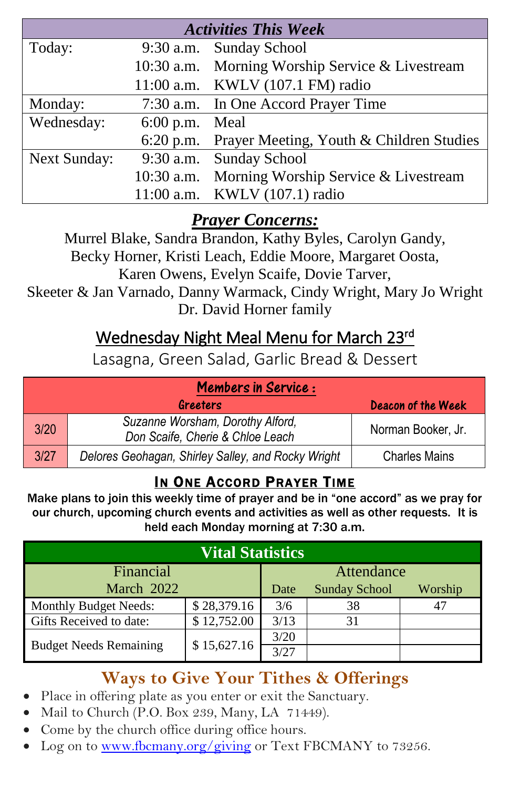| <b>Activities This Week</b> |              |                                                    |  |
|-----------------------------|--------------|----------------------------------------------------|--|
| Today:                      |              | 9:30 a.m. Sunday School                            |  |
|                             |              | 10:30 a.m. Morning Worship Service & Livestream    |  |
|                             |              | 11:00 a.m. KWLV (107.1 FM) radio                   |  |
| Monday:                     |              | 7:30 a.m. In One Accord Prayer Time                |  |
| Wednesday:                  | $6:00$ p.m.  | Meal                                               |  |
|                             |              | 6:20 p.m. Prayer Meeting, Youth & Children Studies |  |
| Next Sunday:                |              | 9:30 a.m. Sunday School                            |  |
|                             | $10:30$ a.m. | Morning Worship Service & Livestream               |  |
|                             |              | 11:00 a.m. KWLV (107.1) radio                      |  |

## *Prayer Concerns:*

Murrel Blake, Sandra Brandon, Kathy Byles, Carolyn Gandy, Becky Horner, Kristi Leach, Eddie Moore, Margaret Oosta, Karen Owens, Evelyn Scaife, Dovie Tarver, Skeeter & Jan Varnado, Danny Warmack, Cindy Wright, Mary Jo Wright Dr. David Horner family

# Wednesday Night Meal Menu for March 23rd

Lasagna, Green Salad, Garlic Bread & Dessert

| <b>Members in Service :</b> |                                                                      |                           |  |
|-----------------------------|----------------------------------------------------------------------|---------------------------|--|
|                             | Greeters                                                             | <b>Deacon of the Week</b> |  |
| 3/20                        | Suzanne Worsham, Dorothy Alford,<br>Don Scaife, Cherie & Chloe Leach | Norman Booker, Jr.        |  |
| 3/27                        | Delores Geohagan, Shirley Salley, and Rocky Wright                   | <b>Charles Mains</b>      |  |

## IN ONE ACCORD PRAYER TIME

Make plans to join this weekly time of prayer and be in "one accord" as we pray for our church, upcoming church events and activities as well as other requests. It is held each Monday morning at 7:30 a.m.

| <b>Vital Statistics</b>       |             |            |                      |         |
|-------------------------------|-------------|------------|----------------------|---------|
| Financial                     |             | Attendance |                      |         |
| March 2022                    |             | Date       | <b>Sunday School</b> | Worship |
| Monthly Budget Needs:         | \$28,379.16 | 3/6        | 38                   | 47      |
| Gifts Received to date:       | \$12,752.00 | 3/13       | 31                   |         |
| <b>Budget Needs Remaining</b> | \$15,627.16 | 3/20       |                      |         |
|                               |             | 3/27       |                      |         |

## **Ways to Give Your Tithes & Offerings**

- Place in offering plate as you enter or exit the Sanctuary.
- Mail to Church (P.O. Box 239, Many, LA 71449).
- Come by the church office during office hours.
- Log on to [www.fbcmany.org/giving](http://www.fbcmany.org/giving) or Text FBCMANY to 73256.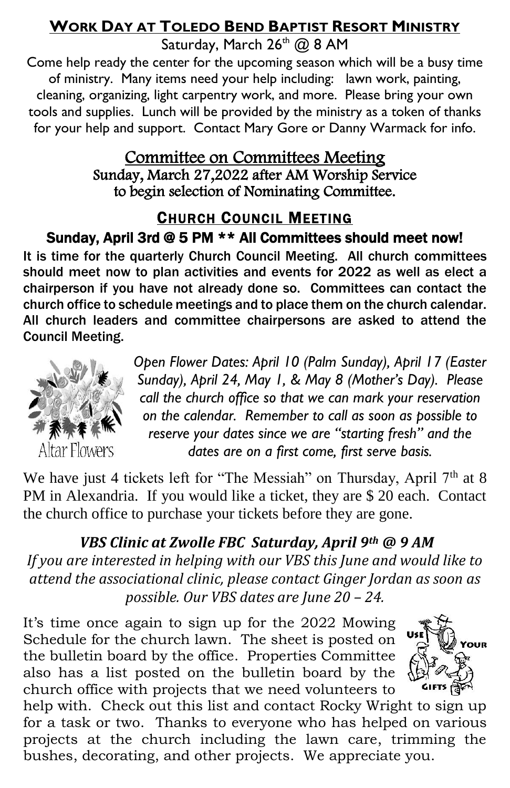### **WORK DAY AT TOLEDO BEND BAPTIST RESORT MINISTRY**

Saturday, March  $26<sup>th</sup>$  @ 8 AM

Come help ready the center for the upcoming season which will be a busy time of ministry. Many items need your help including: lawn work, painting, cleaning, organizing, light carpentry work, and more. Please bring your own tools and supplies. Lunch will be provided by the ministry as a token of thanks for your help and support. Contact Mary Gore or Danny Warmack for info.

### Committee on Committees Meeting Sunday, March 27,2022 after AM Worship Service to begin selection of Nominating Committee.

### CHURCH COUNCIL MEETING Sunday, April 3rd @ 5 PM \*\* All Committees should meet now!

It is time for the quarterly Church Council Meeting. All church committees should meet now to plan activities and events for 2022 as well as elect a chairperson if you have not already done so. Committees can contact the church office to schedule meetings and to place them on the church calendar. All church leaders and committee chairpersons are asked to attend the Council Meeting.

> *Open Flower Dates: April 10 (Palm Sunday), April 17 (Easter Sunday), April 24, May 1, & May 8 (Mother's Day). Please call the church office so that we can mark your reservation*



*on the calendar. Remember to call as soon as possible to reserve your dates since we are "starting fresh" and the dates are on a first come, first serve basis.*

We have just 4 tickets left for "The Messiah" on Thursday, April 7<sup>th</sup> at 8 PM in Alexandria. If you would like a ticket, they are \$ 20 each. Contact the church office to purchase your tickets before they are gone.

*VBS Clinic at Zwolle FBC Saturday, April 9th @ 9 AM If you are interested in helping with our VBS this June and would like to attend the associational clinic, please contact Ginger Jordan as soon as possible. Our VBS dates are June 20 – 24.*

It's time once again to sign up for the 2022 Mowing Schedule for the church lawn. The sheet is posted on the bulletin board by the office. Properties Committee also has a list posted on the bulletin board by the church office with projects that we need volunteers to



help with. Check out this list and contact Rocky Wright to sign up for a task or two. Thanks to everyone who has helped on various projects at the church including the lawn care, trimming the bushes, decorating, and other projects. We appreciate you.